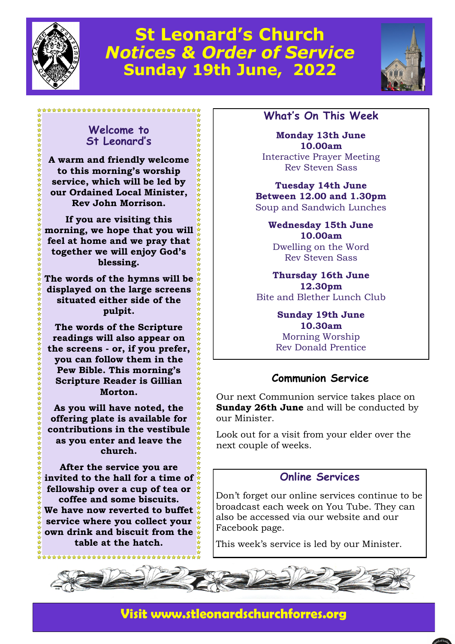

# **St Leonard's Church**  *Notices & Order of Service* **Sunday 19th June, 2022**



#### **Welcome to St Leonard's**

\*\*\*\*\*\*\*\*\*\*\*\*\*\*\*\*\*\*\*\*\*\*\*\*\*\*\*\*\*\*\*\*\*

**A warm and friendly welcome to this morning's worship service, which will be led by our Ordained Local Minister, Rev John Morrison.**

**If you are visiting this morning, we hope that you will feel at home and we pray that together we will enjoy God's blessing.** 

**The words of the hymns will be displayed on the large screens situated either side of the pulpit.** 

**The words of the Scripture readings will also appear on the screens - or, if you prefer, you can follow them in the Pew Bible. This morning's Scripture Reader is Gillian Morton.**

**As you will have noted, the offering plate is available for contributions in the vestibule as you enter and leave the church.**

**After the service you are invited to the hall for a time of fellowship over a cup of tea or coffee and some biscuits. We have now reverted to buffet service where you collect your own drink and biscuit from the table at the hatch.**

\*\*\*\*\*\*\*\*\*\*\*\*\*\*\*\*\*\*\*\*

### **What's On This Week**

**Monday 13th June 10.00am** Interactive Prayer Meeting Rev Steven Sass

**Tuesday 14th June Between 12.00 and 1.30pm** Soup and Sandwich Lunches

> **Wednesday 15th June 10.00am** Dwelling on the Word Rev Steven Sass

**Thursday 16th June 12.30pm** Bite and Blether Lunch Club

> **Sunday 19th June 10.30am** Morning Worship Rev Donald Prentice

### **Communion Service**

Our next Communion service takes place on **Sunday 26th June** and will be conducted by our Minister.

Look out for a visit from your elder over the next couple of weeks.

#### **Online Services**

Don't forget our online services continue to be broadcast each week on You Tube. They can also be accessed via our website and our Facebook page.

This week's service is led by our Minister.



# **Visit www.stleonardschurchforres.org**